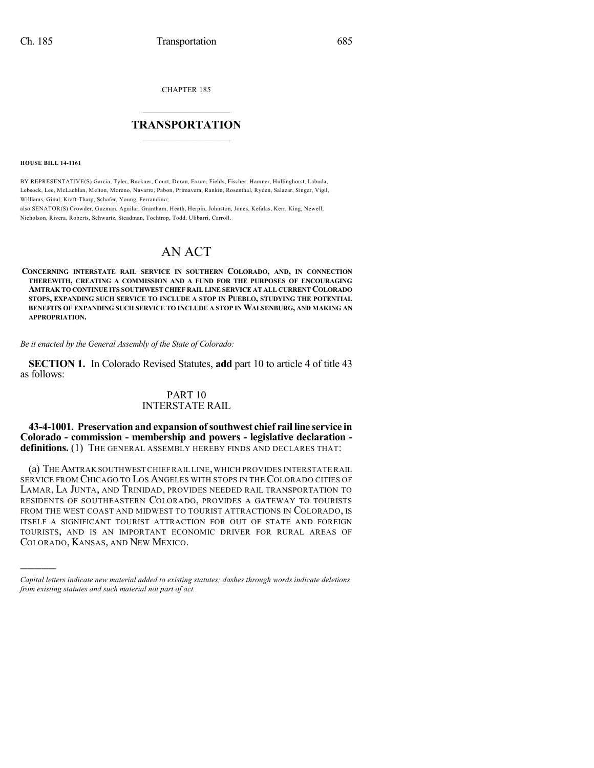CHAPTER 185

## $\mathcal{L}_\text{max}$  . The set of the set of the set of the set of the set of the set of the set of the set of the set of the set of the set of the set of the set of the set of the set of the set of the set of the set of the set **TRANSPORTATION**  $\_$   $\_$   $\_$   $\_$   $\_$   $\_$   $\_$   $\_$   $\_$

**HOUSE BILL 14-1161**

)))))

BY REPRESENTATIVE(S) Garcia, Tyler, Buckner, Court, Duran, Exum, Fields, Fischer, Hamner, Hullinghorst, Labuda, Lebsock, Lee, McLachlan, Melton, Moreno, Navarro, Pabon, Primavera, Rankin, Rosenthal, Ryden, Salazar, Singer, Vigil, Williams, Ginal, Kraft-Tharp, Schafer, Young, Ferrandino;

also SENATOR(S) Crowder, Guzman, Aguilar, Grantham, Heath, Herpin, Johnston, Jones, Kefalas, Kerr, King, Newell, Nicholson, Rivera, Roberts, Schwartz, Steadman, Tochtrop, Todd, Ulibarri, Carroll.

## AN ACT

**CONCERNING INTERSTATE RAIL SERVICE IN SOUTHERN COLORADO, AND, IN CONNECTION THEREWITH, CREATING A COMMISSION AND A FUND FOR THE PURPOSES OF ENCOURAGING AMTRAK TO CONTINUE ITS SOUTHWEST CHIEF RAIL LINE SERVICE AT ALL CURRENTCOLORADO STOPS, EXPANDING SUCH SERVICE TO INCLUDE A STOP IN PUEBLO, STUDYING THE POTENTIAL BENEFITS OF EXPANDING SUCH SERVICE TO INCLUDE A STOP INWALSENBURG, AND MAKING AN APPROPRIATION.**

*Be it enacted by the General Assembly of the State of Colorado:*

**SECTION 1.** In Colorado Revised Statutes, **add** part 10 to article 4 of title 43 as follows:

## PART 10 INTERSTATE RAIL

**43-4-1001. Preservation and expansion ofsouthwest chief rail line service in Colorado - commission - membership and powers - legislative declaration definitions.** (1) THE GENERAL ASSEMBLY HEREBY FINDS AND DECLARES THAT:

(a) THEAMTRAK SOUTHWESTCHIEF RAIL LINE,WHICH PROVIDES INTERSTATE RAIL SERVICE FROM CHICAGO TO LOS ANGELES WITH STOPS IN THE COLORADO CITIES OF LAMAR, LA JUNTA, AND TRINIDAD, PROVIDES NEEDED RAIL TRANSPORTATION TO RESIDENTS OF SOUTHEASTERN COLORADO, PROVIDES A GATEWAY TO TOURISTS FROM THE WEST COAST AND MIDWEST TO TOURIST ATTRACTIONS IN COLORADO, IS ITSELF A SIGNIFICANT TOURIST ATTRACTION FOR OUT OF STATE AND FOREIGN TOURISTS, AND IS AN IMPORTANT ECONOMIC DRIVER FOR RURAL AREAS OF COLORADO, KANSAS, AND NEW MEXICO.

*Capital letters indicate new material added to existing statutes; dashes through words indicate deletions from existing statutes and such material not part of act.*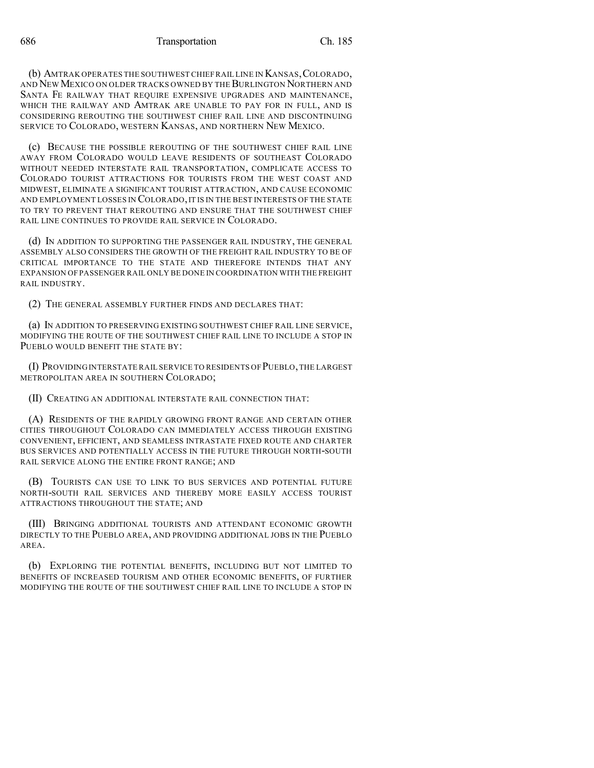(b) AMTRAK OPERATES THE SOUTHWEST CHIEFRAIL LINE IN KANSAS,COLORADO, AND NEW MEXICO ON OLDER TRACKS OWNED BY THE BURLINGTON NORTHERN AND SANTA FE RAILWAY THAT REQUIRE EXPENSIVE UPGRADES AND MAINTENANCE, WHICH THE RAILWAY AND AMTRAK ARE UNABLE TO PAY FOR IN FULL, AND IS CONSIDERING REROUTING THE SOUTHWEST CHIEF RAIL LINE AND DISCONTINUING SERVICE TO COLORADO, WESTERN KANSAS, AND NORTHERN NEW MEXICO.

(c) BECAUSE THE POSSIBLE REROUTING OF THE SOUTHWEST CHIEF RAIL LINE AWAY FROM COLORADO WOULD LEAVE RESIDENTS OF SOUTHEAST COLORADO WITHOUT NEEDED INTERSTATE RAIL TRANSPORTATION, COMPLICATE ACCESS TO COLORADO TOURIST ATTRACTIONS FOR TOURISTS FROM THE WEST COAST AND MIDWEST, ELIMINATE A SIGNIFICANT TOURIST ATTRACTION, AND CAUSE ECONOMIC AND EMPLOYMENT LOSSES IN COLORADO, IT IS IN THE BEST INTERESTS OF THE STATE TO TRY TO PREVENT THAT REROUTING AND ENSURE THAT THE SOUTHWEST CHIEF RAIL LINE CONTINUES TO PROVIDE RAIL SERVICE IN COLORADO.

(d) IN ADDITION TO SUPPORTING THE PASSENGER RAIL INDUSTRY, THE GENERAL ASSEMBLY ALSO CONSIDERS THE GROWTH OF THE FREIGHT RAIL INDUSTRY TO BE OF CRITICAL IMPORTANCE TO THE STATE AND THEREFORE INTENDS THAT ANY EXPANSION OF PASSENGER RAIL ONLY BE DONE IN COORDINATION WITH THE FREIGHT RAIL INDUSTRY.

(2) THE GENERAL ASSEMBLY FURTHER FINDS AND DECLARES THAT:

(a) IN ADDITION TO PRESERVING EXISTING SOUTHWEST CHIEF RAIL LINE SERVICE, MODIFYING THE ROUTE OF THE SOUTHWEST CHIEF RAIL LINE TO INCLUDE A STOP IN PUEBLO WOULD BENEFIT THE STATE BY:

(I) PROVIDING INTERSTATE RAIL SERVICE TO RESIDENTS OF PUEBLO,THE LARGEST METROPOLITAN AREA IN SOUTHERN COLORADO;

(II) CREATING AN ADDITIONAL INTERSTATE RAIL CONNECTION THAT:

(A) RESIDENTS OF THE RAPIDLY GROWING FRONT RANGE AND CERTAIN OTHER CITIES THROUGHOUT COLORADO CAN IMMEDIATELY ACCESS THROUGH EXISTING CONVENIENT, EFFICIENT, AND SEAMLESS INTRASTATE FIXED ROUTE AND CHARTER BUS SERVICES AND POTENTIALLY ACCESS IN THE FUTURE THROUGH NORTH-SOUTH RAIL SERVICE ALONG THE ENTIRE FRONT RANGE; AND

(B) TOURISTS CAN USE TO LINK TO BUS SERVICES AND POTENTIAL FUTURE NORTH-SOUTH RAIL SERVICES AND THEREBY MORE EASILY ACCESS TOURIST ATTRACTIONS THROUGHOUT THE STATE; AND

(III) BRINGING ADDITIONAL TOURISTS AND ATTENDANT ECONOMIC GROWTH DIRECTLY TO THE PUEBLO AREA, AND PROVIDING ADDITIONAL JOBS IN THE PUEBLO AREA.

(b) EXPLORING THE POTENTIAL BENEFITS, INCLUDING BUT NOT LIMITED TO BENEFITS OF INCREASED TOURISM AND OTHER ECONOMIC BENEFITS, OF FURTHER MODIFYING THE ROUTE OF THE SOUTHWEST CHIEF RAIL LINE TO INCLUDE A STOP IN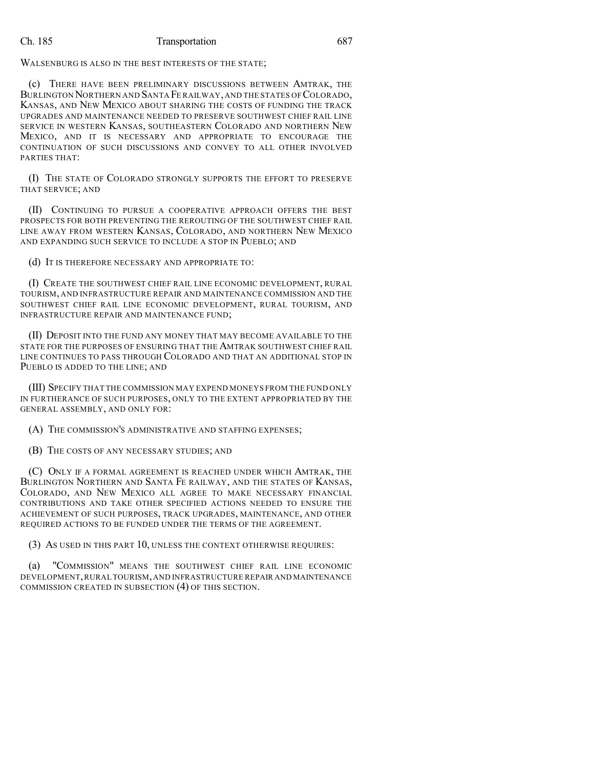## Ch. 185 Transportation 687

WALSENBURG IS ALSO IN THE BEST INTERESTS OF THE STATE;

(c) THERE HAVE BEEN PRELIMINARY DISCUSSIONS BETWEEN AMTRAK, THE BURLINGTON NORTHERN AND SANTA FE RAILWAY,AND THE STATES OF COLORADO, KANSAS, AND NEW MEXICO ABOUT SHARING THE COSTS OF FUNDING THE TRACK UPGRADES AND MAINTENANCE NEEDED TO PRESERVE SOUTHWEST CHIEF RAIL LINE SERVICE IN WESTERN KANSAS, SOUTHEASTERN COLORADO AND NORTHERN NEW MEXICO, AND IT IS NECESSARY AND APPROPRIATE TO ENCOURAGE THE CONTINUATION OF SUCH DISCUSSIONS AND CONVEY TO ALL OTHER INVOLVED PARTIES THAT:

(I) THE STATE OF COLORADO STRONGLY SUPPORTS THE EFFORT TO PRESERVE THAT SERVICE; AND

(II) CONTINUING TO PURSUE A COOPERATIVE APPROACH OFFERS THE BEST PROSPECTS FOR BOTH PREVENTING THE REROUTING OF THE SOUTHWEST CHIEF RAIL LINE AWAY FROM WESTERN KANSAS, COLORADO, AND NORTHERN NEW MEXICO AND EXPANDING SUCH SERVICE TO INCLUDE A STOP IN PUEBLO; AND

(d) IT IS THEREFORE NECESSARY AND APPROPRIATE TO:

(I) CREATE THE SOUTHWEST CHIEF RAIL LINE ECONOMIC DEVELOPMENT, RURAL TOURISM, AND INFRASTRUCTURE REPAIR AND MAINTENANCE COMMISSION AND THE SOUTHWEST CHIEF RAIL LINE ECONOMIC DEVELOPMENT, RURAL TOURISM, AND INFRASTRUCTURE REPAIR AND MAINTENANCE FUND;

(II) DEPOSIT INTO THE FUND ANY MONEY THAT MAY BECOME AVAILABLE TO THE STATE FOR THE PURPOSES OF ENSURING THAT THE AMTRAK SOUTHWEST CHIEF RAIL LINE CONTINUES TO PASS THROUGH COLORADO AND THAT AN ADDITIONAL STOP IN PUEBLO IS ADDED TO THE LINE; AND

(III) SPECIFY THAT THE COMMISSION MAY EXPEND MONEYS FROM THE FUND ONLY IN FURTHERANCE OF SUCH PURPOSES, ONLY TO THE EXTENT APPROPRIATED BY THE GENERAL ASSEMBLY, AND ONLY FOR:

(A) THE COMMISSION'S ADMINISTRATIVE AND STAFFING EXPENSES;

(B) THE COSTS OF ANY NECESSARY STUDIES; AND

(C) ONLY IF A FORMAL AGREEMENT IS REACHED UNDER WHICH AMTRAK, THE BURLINGTON NORTHERN AND SANTA FE RAILWAY, AND THE STATES OF KANSAS, COLORADO, AND NEW MEXICO ALL AGREE TO MAKE NECESSARY FINANCIAL CONTRIBUTIONS AND TAKE OTHER SPECIFIED ACTIONS NEEDED TO ENSURE THE ACHIEVEMENT OF SUCH PURPOSES, TRACK UPGRADES, MAINTENANCE, AND OTHER REQUIRED ACTIONS TO BE FUNDED UNDER THE TERMS OF THE AGREEMENT.

(3) AS USED IN THIS PART 10, UNLESS THE CONTEXT OTHERWISE REQUIRES:

(a) "COMMISSION" MEANS THE SOUTHWEST CHIEF RAIL LINE ECONOMIC DEVELOPMENT,RURAL TOURISM,AND INFRASTRUCTURE REPAIR AND MAINTENANCE COMMISSION CREATED IN SUBSECTION (4) OF THIS SECTION.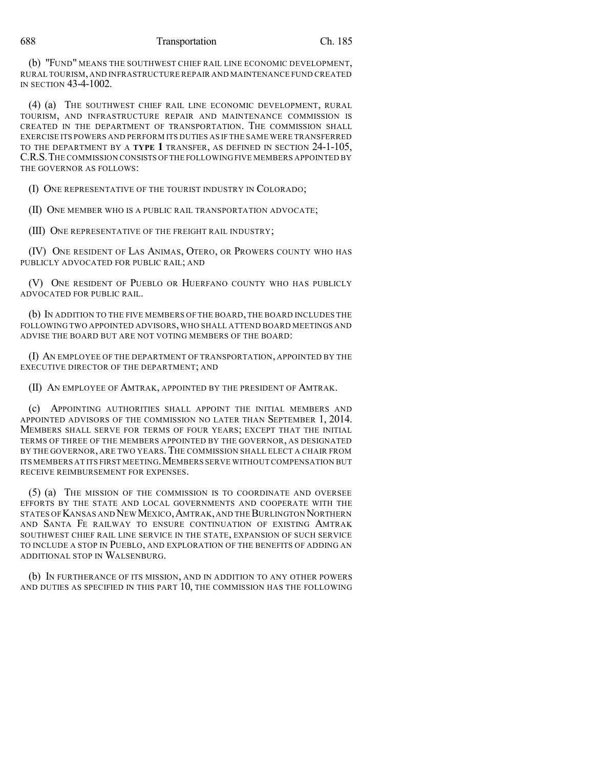(b) "FUND" MEANS THE SOUTHWEST CHIEF RAIL LINE ECONOMIC DEVELOPMENT, RURAL TOURISM, AND INFRASTRUCTURE REPAIR AND MAINTENANCE FUND CREATED IN SECTION 43-4-1002.

(4) (a) THE SOUTHWEST CHIEF RAIL LINE ECONOMIC DEVELOPMENT, RURAL TOURISM, AND INFRASTRUCTURE REPAIR AND MAINTENANCE COMMISSION IS CREATED IN THE DEPARTMENT OF TRANSPORTATION. THE COMMISSION SHALL EXERCISE ITS POWERS AND PERFORM ITS DUTIES AS IF THE SAME WERE TRANSFERRED TO THE DEPARTMENT BY A **TYPE 1** TRANSFER, AS DEFINED IN SECTION 24-1-105, C.R.S.THE COMMISSION CONSISTS OFTHE FOLLOWING FIVE MEMBERS APPOINTED BY THE GOVERNOR AS FOLLOWS:

(I) ONE REPRESENTATIVE OF THE TOURIST INDUSTRY IN COLORADO;

(II) ONE MEMBER WHO IS A PUBLIC RAIL TRANSPORTATION ADVOCATE;

(III) ONE REPRESENTATIVE OF THE FREIGHT RAIL INDUSTRY;

(IV) ONE RESIDENT OF LAS ANIMAS, OTERO, OR PROWERS COUNTY WHO HAS PUBLICLY ADVOCATED FOR PUBLIC RAIL; AND

(V) ONE RESIDENT OF PUEBLO OR HUERFANO COUNTY WHO HAS PUBLICLY ADVOCATED FOR PUBLIC RAIL.

(b) IN ADDITION TO THE FIVE MEMBERS OF THE BOARD, THE BOARD INCLUDES THE FOLLOWING TWO APPOINTED ADVISORS, WHO SHALL ATTEND BOARD MEETINGS AND ADVISE THE BOARD BUT ARE NOT VOTING MEMBERS OF THE BOARD:

(I) AN EMPLOYEE OF THE DEPARTMENT OF TRANSPORTATION, APPOINTED BY THE EXECUTIVE DIRECTOR OF THE DEPARTMENT; AND

(II) AN EMPLOYEE OF AMTRAK, APPOINTED BY THE PRESIDENT OF AMTRAK.

(c) APPOINTING AUTHORITIES SHALL APPOINT THE INITIAL MEMBERS AND APPOINTED ADVISORS OF THE COMMISSION NO LATER THAN SEPTEMBER 1, 2014. MEMBERS SHALL SERVE FOR TERMS OF FOUR YEARS; EXCEPT THAT THE INITIAL TERMS OF THREE OF THE MEMBERS APPOINTED BY THE GOVERNOR, AS DESIGNATED BY THE GOVERNOR, ARE TWO YEARS.THE COMMISSION SHALL ELECT A CHAIR FROM ITS MEMBERS AT ITS FIRST MEETING.MEMBERS SERVE WITHOUT COMPENSATION BUT RECEIVE REIMBURSEMENT FOR EXPENSES.

(5) (a) THE MISSION OF THE COMMISSION IS TO COORDINATE AND OVERSEE EFFORTS BY THE STATE AND LOCAL GOVERNMENTS AND COOPERATE WITH THE STATES OF KANSAS AND NEW MEXICO,AMTRAK,AND THEBURLINGTON NORTHERN AND SANTA FE RAILWAY TO ENSURE CONTINUATION OF EXISTING AMTRAK SOUTHWEST CHIEF RAIL LINE SERVICE IN THE STATE, EXPANSION OF SUCH SERVICE TO INCLUDE A STOP IN PUEBLO, AND EXPLORATION OF THE BENEFITS OF ADDING AN ADDITIONAL STOP IN WALSENBURG.

(b) IN FURTHERANCE OF ITS MISSION, AND IN ADDITION TO ANY OTHER POWERS AND DUTIES AS SPECIFIED IN THIS PART 10, THE COMMISSION HAS THE FOLLOWING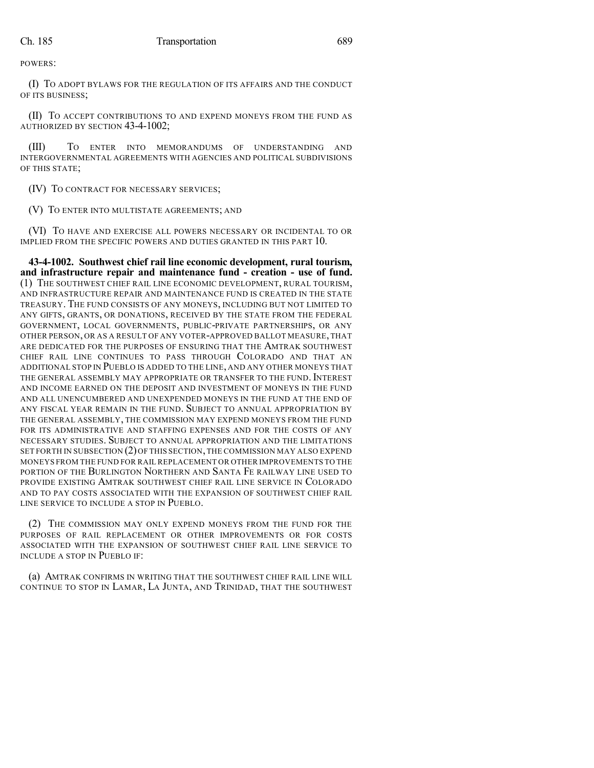POWERS:

(I) TO ADOPT BYLAWS FOR THE REGULATION OF ITS AFFAIRS AND THE CONDUCT OF ITS BUSINESS;

(II) TO ACCEPT CONTRIBUTIONS TO AND EXPEND MONEYS FROM THE FUND AS AUTHORIZED BY SECTION 43-4-1002;

(III) TO ENTER INTO MEMORANDUMS OF UNDERSTANDING AND INTERGOVERNMENTAL AGREEMENTS WITH AGENCIES AND POLITICAL SUBDIVISIONS OF THIS STATE;

(IV) TO CONTRACT FOR NECESSARY SERVICES;

(V) TO ENTER INTO MULTISTATE AGREEMENTS; AND

(VI) TO HAVE AND EXERCISE ALL POWERS NECESSARY OR INCIDENTAL TO OR IMPLIED FROM THE SPECIFIC POWERS AND DUTIES GRANTED IN THIS PART 10.

**43-4-1002. Southwest chief rail line economic development, rural tourism, and infrastructure repair and maintenance fund - creation - use of fund.** (1) THE SOUTHWEST CHIEF RAIL LINE ECONOMIC DEVELOPMENT, RURAL TOURISM, AND INFRASTRUCTURE REPAIR AND MAINTENANCE FUND IS CREATED IN THE STATE TREASURY. THE FUND CONSISTS OF ANY MONEYS, INCLUDING BUT NOT LIMITED TO ANY GIFTS, GRANTS, OR DONATIONS, RECEIVED BY THE STATE FROM THE FEDERAL GOVERNMENT, LOCAL GOVERNMENTS, PUBLIC-PRIVATE PARTNERSHIPS, OR ANY OTHER PERSON, OR AS A RESULT OF ANY VOTER-APPROVED BALLOT MEASURE, THAT ARE DEDICATED FOR THE PURPOSES OF ENSURING THAT THE AMTRAK SOUTHWEST CHIEF RAIL LINE CONTINUES TO PASS THROUGH COLORADO AND THAT AN ADDITIONAL STOP IN PUEBLO IS ADDED TO THE LINE, AND ANY OTHER MONEYS THAT THE GENERAL ASSEMBLY MAY APPROPRIATE OR TRANSFER TO THE FUND. INTEREST AND INCOME EARNED ON THE DEPOSIT AND INVESTMENT OF MONEYS IN THE FUND AND ALL UNENCUMBERED AND UNEXPENDED MONEYS IN THE FUND AT THE END OF ANY FISCAL YEAR REMAIN IN THE FUND. SUBJECT TO ANNUAL APPROPRIATION BY THE GENERAL ASSEMBLY, THE COMMISSION MAY EXPEND MONEYS FROM THE FUND FOR ITS ADMINISTRATIVE AND STAFFING EXPENSES AND FOR THE COSTS OF ANY NECESSARY STUDIES. SUBJECT TO ANNUAL APPROPRIATION AND THE LIMITATIONS SET FORTH IN SUBSECTION (2) OF THIS SECTION, THE COMMISSION MAY ALSO EXPEND MONEYS FROM THE FUND FOR RAIL REPLACEMENT OR OTHER IMPROVEMENTS TO THE PORTION OF THE BURLINGTON NORTHERN AND SANTA FE RAILWAY LINE USED TO PROVIDE EXISTING AMTRAK SOUTHWEST CHIEF RAIL LINE SERVICE IN COLORADO AND TO PAY COSTS ASSOCIATED WITH THE EXPANSION OF SOUTHWEST CHIEF RAIL LINE SERVICE TO INCLUDE A STOP IN PUEBLO.

(2) THE COMMISSION MAY ONLY EXPEND MONEYS FROM THE FUND FOR THE PURPOSES OF RAIL REPLACEMENT OR OTHER IMPROVEMENTS OR FOR COSTS ASSOCIATED WITH THE EXPANSION OF SOUTHWEST CHIEF RAIL LINE SERVICE TO INCLUDE A STOP IN PUEBLO IF:

(a) AMTRAK CONFIRMS IN WRITING THAT THE SOUTHWEST CHIEF RAIL LINE WILL CONTINUE TO STOP IN LAMAR, LA JUNTA, AND TRINIDAD, THAT THE SOUTHWEST